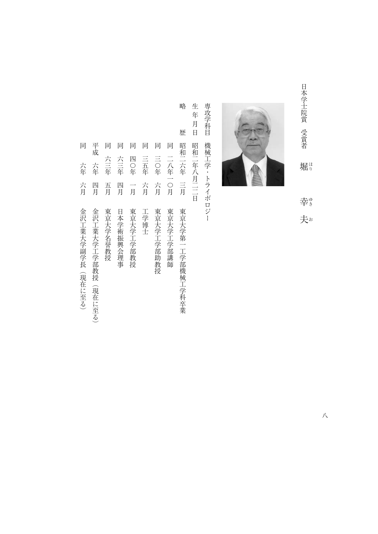日本学士院賞 受賞者 しょう しょうしょう しゅうしょう しゅうしょう こうしょう こうしょう こうしょう こうしょう こうしょう こうしょう こうしょう こうしょう こうしょう 堀り ほりゆきお 幸。

夫



専攻学科目 手続き スター・スター・スター・スター・エヌ 機械工学・トライボロジー

生年月日 キュニュー エコ・エコ・エコ・エコ・エコ・エコ 昭和二年八月二二日

略

歴

- 略歴昭和二六年三月東京大学第一工学部機械工学科卒業 平成 同 同 同 同 同 昭和二六年 三月 同 同 二八年一〇月 平成十年1月<del>4日全国の大学工学部教授(現在に至る) 2010年11月41日全国の大学工学部教授(現在に至る) 2010年12月41日全国の大学工学部教授(現在に至る) 2010年12月41日全国の大学工学部教授(現在に</del> 同六年五月 東京大学名学会 こうしゅうしゅ しゅうしゅう こうしゅう こうしゅう こうしゅう こうしゅう こうしゅう こうしゅう こうしゅう こうしゅう こうしゅう こうしゅう こうしゅう こうしゅう こうしゅう こうしゅう 同六十年四月日本学術振興会理事長 一年四月日本学院 一年四月日本学院 一年四月日本学院 一年四月11日本学院 一年四月11日本学院 一年四月11日本学院 一年四月11日 同四十年 一月 東京大学工学部教授会 (1988年 - 1988年 - 1988年 - 1988年 - 1988年 - 1988年 - 1988年 - 1988年 - 1988年 - 1988年 - 1988年 - 19 同三五年六月工学博士 一个月,我们的学校,我们的学校,我们的学校,我们的学校,我们的学校,我们的学校,我们的学校,我们的学校,我们的学校,我们的学校,我们的学校,我们的学校,我们的学校 同二八年一〇月東京大学工学部講師 六三年 六三年 四〇年 三五年 六年 方月 四月 五月 四月 方月 一月 東京大学工学部講師 東京大学第一工学部機械工学科卒業 金沢工業大学工学部教授(現在に至る) 東京大学名誉教授 日本学術振興会理事 東京大学工学部教授 工学博士 東京大学工学部助教授
	-
- 「日本の「日本の」と「日本の」と「日本の」と「日本の」と「日本の」と「日本の」と「日本の」と「日本の」と「日本の」と「日本の」と「日本の」と「日本の」と「日本の」と「日本の」と「日本の」と「日本の」と 六年 六月 金沢工業大学副学長 (現在に至る)

八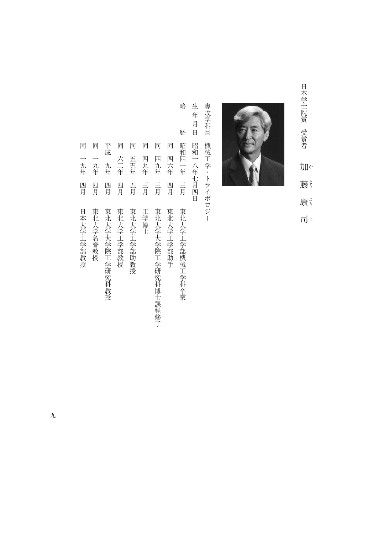日本学士院賞 受賞者 「日本学生院」の「日本学校」の「日本学校」の「日本学校」、「日本学校」、「日本学校」、「日本学校」、「日本学校」、「日本学校」、「日本学校」、「日本学校」、「日本学校」、「「 加 藤う 康 司じ



専攻学科目 手続き スター・スター・スター・エヌ こうしょう こうしゃ しゅうしゅう しゅうしゅう しゅうしゅう しゅうしゅう しゅうしゅう しゅうしゅう しゅうしゅう しゅうしゅう 機械工学・トライボロジー

生年月日 生年月日昭和一八年七月四日 昭和一八年七月四日

略

- 略歴昭和四一年三月東北大学工学部機械工学科卒業 歴 昭和四一年 三月 東北大学工学部機械工学科卒業
- 同 同一年一月 東北大学工学部 かいしょう しゅうしゅう しゅうしゅう しゅうしゅう しゅうしゅう しゅうしゅう しゅうしゅう しゅうしゅう しゅうしゅう しゅうしゅう しゅうしゅう しゅうしゅう しゅうしゅう しゅうしゅ 四六年 四月 東北大学工学部助手
- 同四九年三月東北大学大学院工学研究科博士課程修了 四九年 言 東北大学大学院工学研究科博士課程修了
- 同四九年三月工学博士 四九年 三月 工学博士
- 一年二月 長江 医二十四指肠 医二十四指肠 医二十四指肠 医二十四指肠 医二十四指肠 医二十四指肠 医二十四指肠 医二十四指肠 医二十四指肠 医二十四指肠 医二十四指肠 医二十四指肠 医二十四指肠 医二十四指肠 医二十四指肠 医二十四指肠 医二十四指肠 医二十四指肠 医二十四指肠 医二十四指肠 医二十四指肠 医二十四指肠 医二十四指肠 医二十二指肠 医二十二指肠 医二十二指肠 医二十二指肠 医二十二指肠 医二十二指肠 医二十二指肠 医二十 五五年 五月 東北大学工学部助教授
- 一年四月 長江 医二十四指数 医二十四指数 医二十四指数 医二十四指数 医二十四指数 医二十四指数 医二十四指数 医二十四指数 医二十四指数 医二十四指数 医二十四指数 六二年 四月 東北大学工学部教授
- 平成九年四月東北大学大学院工学研究科教授 九年 四月 東北大学大学院工学研究科教授

平成

同 同 同 同

同 同

一九年

- 同一九年四月東北大学名誉教授 四月 東北大学名誉教授
- 同一九年四月日本大学工学部教授 1988年 1988年 1988年 1988年 1988年 1988年 1988年 1988年 1988年 1988年 1988年 1988年 1988年 1988年 1988年 1988年 一九年 四月 日本大学工学部教授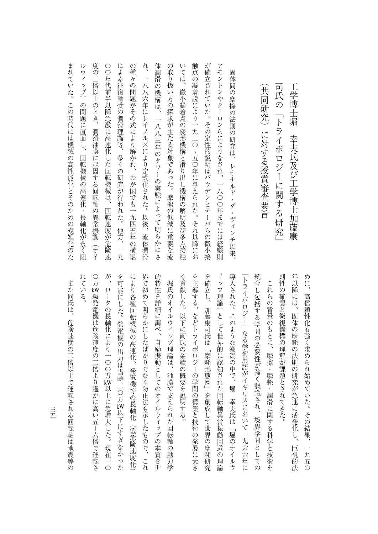| 触点の凝着説により一九二〇~五〇年に与えられた。それ以降にお<br>が確立されていた。その定性的説明はバウデンとテーバらの微小接<br>の<br>アモントン<br>r y<br>$\lambda$<br>よる<br>取り扱<br>-潤滑<br>ては、<br>固<br>[体間<br>々の問題がその式により解かれ、<br>ー八<br>往復軸受の<br>司氏の「トライボロジーに関する研究」<br>の<br>共同研究)に対する授賞審査要旨<br>微小凝着点の変形機構と滑り出し機構の解明及び多点接触<br>八六年にレイ<br>機構は、<br>い方の探求が主たる対象であった。摩擦<br>の<br>や<br>摩擦<br>クーロンらによりなされ、<br>の法<br>潤滑理論等、<br>一八八三年のタワーの実験によ<br>厠の<br>ノルズにより定式化された。<br>研究は、<br>多くの研究が行わ<br>レオナルド・<br>わが国でも一九<br>、一八〇〇年までには経験則<br>ダ<br>れ<br>の低減に重要な流<br>$\ddot{\phantom{0}}$<br>って明ら<br>た。<br>以後、<br>ヴィンチ以来、<br>四五年<br>他方、<br>流<br>か<br>筗<br>Ò<br>横<br>lZ<br>润滑<br>一九<br>堀<br>$\tilde{\varepsilon}$ |
|-------------------------------------------------------------------------------------------------------------------------------------------------------------------------------------------------------------------------------------------------------------------------------------------------------------------------------------------------------------------------------------------------------------------------------------------------------------------------------------------------------------------------------------------------------------------------------------------------------------------------|
|                                                                                                                                                                                                                                                                                                                                                                                                                                                                                                                                                                                                                         |
|                                                                                                                                                                                                                                                                                                                                                                                                                                                                                                                                                                                                                         |
| 体                                                                                                                                                                                                                                                                                                                                                                                                                                                                                                                                                                                                                       |
| れ                                                                                                                                                                                                                                                                                                                                                                                                                                                                                                                                                                                                                       |
| の種                                                                                                                                                                                                                                                                                                                                                                                                                                                                                                                                                                                                                      |
| に                                                                                                                                                                                                                                                                                                                                                                                                                                                                                                                                                                                                                       |
| $\bigcirc$<br>Ō<br>年代前半以降急激に高速化した回転機械は、<br>回転速度が危険速                                                                                                                                                                                                                                                                                                                                                                                                                                                                                                                                                                     |
| 度の二倍以上のとき、<br>潤滑油膜に起因する回転軸の異常振動<br><b>(オイ</b>                                                                                                                                                                                                                                                                                                                                                                                                                                                                                                                                                                           |
| ル<br>ウィ<br>ップ<br>の問題に直面し、<br>回転機械の高速化<br>・長軸化が永く阻                                                                                                                                                                                                                                                                                                                                                                                                                                                                                                                                                                       |
| まれていた。<br>この時代には機械の高性能化とそのための複雑化のた                                                                                                                                                                                                                                                                                                                                                                                                                                                                                                                                                                                      |

年以降には、固体の摩耗の法則の研究が急速に活発化し、巨視的法 則性の確認と微視機構の理解が課題とされてきた。 めに、高信頼性化も強く求められ始めていた。その結果、一九五〇 からは、 この様に こうしょう こうしょう こうしょう こうしょう こうしょう こうしょう こうしょう こうしょう こうしょう こうしょう こうしょう 年以降には、固体の摩耗の法則の研究が急速に活発化し、巨視的法 あたり、その結果、その結果、一九五〇の結果、一九五〇の結果、一九五〇の結果、一九五〇の結果、一九五〇の結果、一九五〇の結果、一九五〇の結果、一九五〇の結果、一九五〇の結果、一九五〇の結果、一九五〇の結

工学生のエネルギーのエネルギーのエネルギーのエネルギーのエネルギーのエネルギーのエネルギーのエネルギーのエネルギーのエネルギーのエネルギーのエネルギーのエネルギー

幸夫氏及び工学博士加藤康

工学博士堀

く貢献した。以下に両氏の業績の概要を説明する。 を主導する、などトライボロジーの学問の構築と技術の発展に大き を確立し、加藤康司氏は「摩耗形態図」を創成して世界の摩耗研究 導入された。このような潮流の中で、堀 幸夫氏は「堀のオイルウ 「トライボロジー」なる学術用語がイギリスにおいて一九六六年に 統合し包括する学問の必要性が強く認識され、境界学問としての ィップ理論」として世界的に認知された回転軸異常振動回避の理論 「トライボロジー」など、「トライボロジー」など、「トライボロジー」など、「トライボロジー」など、「トライボロジー」など、「トライボロジー」など、「トライボロジー」など、「トライボロジー」など、「トライ く貢献した。以下に両氏の業績の概要を説明する。 そのような こうしゅう こうしゅう こうしゅう こうしゅう こうしゅう こうしゅう こうしゅう こうしゅう こうしゅう こうしゅう こうしゅう こうしゅう こうしゅう を確立し、加藤康司氏は「摩耗形態図」を創成して世界の摩耗研究 ・『『『『『『『『『『『『『『『『『『『『『『『『』』として世界の理論』として、『『『『『』』として世界の理論』として、『『『『』』として『『『『』』として『『『』』として『『『』』として『『『『』』 きんじゅつ きょうきょう このような このような このような このような このような このような このような このような このような このような このような このような このような このような このような このような このような 統合し包括する学問の必要性が強く認識され、境界学問としての これらの背景のもとに、摩擦・摩耗・潤滑に関する科学と技術を これらの背景のもとに、摩擦・摩耗・潤滑に関する科学と技術を

れている。 ○万W級発電機は危険速度の二倍より遙かに高い五−六倍で運転さ が、ロータの長軸化により一〇〇万W以上に急増大した。現在一〇 を可能にした。発電機の出力は当時二〇万W以下にすぎなかった により各種回転機械の高速化、発電機等の長軸化(低危険速度化) 界で初めて明らかにしたばかりでなく防止法も示したもので、これ 的特性を詳細に調べ、自励振動としてのオイルウィップの本質を世 れている。 〇万 が、ロータの長軸化により一〇〇万 として、その場合には「この日本の出力は当時にも当時にもある」という。 により各種回転機械の高速化、発電機等の長軸化(低危険速度化) 界で初めて明らかにしたばかりでなく防止法も示したもので、これ 的特性を詳細に調べ、自励振動としてのオイルウィップの本質を世 堀氏のオイルウィップ理論は、油膜で支えられた回転軸の動力学 堀氏のオイルウィップ理論は、油膜で支えられた回転軸の動力学 教育法 はいしゅう こうしゅう こうしゅう こうしゅう こうしゅう こうしゅう こうしゅう こうしゅう こうしゅう こうしゅう こうしゅう こうしゃ こうしゅう こうしゅう 以上に急増大した。現在一〇 以下にすぎなかった ー・コーヒー こうしゃ

また同氏は、危険速度の二倍以上で運転される回転軸は地震等の ものは、危険速度の二倍は、危険速度の一倍は、危険速度の二倍以上で運転されるので、危険速度が増えるので、危険速度が増えているので、危険速度が増えているので、危険速度が増えているので、危険速度が増えている

三五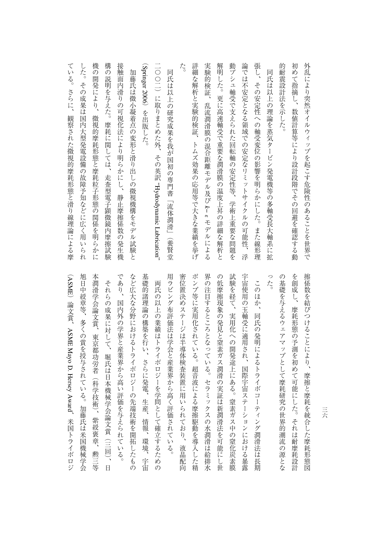| 外乱により突然オイルウィップを起こす危険性のあることを世界で                                            |
|---------------------------------------------------------------------------|
| 初めて指摘し、<br>数値計算等により設計段階でその回避を確認する動                                        |
| 的耐震設計法を示した。                                                               |
| 同氏は以上の理論を蒸気タービン発電機等の多軸受長大軸系に拡                                             |
| 張し、その安定性への軸受変位の影響を明らかにした。<br>また線形理                                        |
| 論では不安定となる領域での安定なリミットサイ<br>クルの可能性<br>浮                                     |
| 動ブシュ軸受で支えられた回転軸の安定性等、学術上重要な<br>*問題を                                       |
| 解明した。更に高速軸受で重要な潤滑膜の温度上昇の詳細<br>な<br>)解析と                                   |
| 実験的検証、<br>乱流潤滑膜の混合距離モデル及び k-<br>$\omega$<br>モデ<br>ルによる                    |
| 詳細な解析と実験的検証、<br>トムズ効果の応用等で大きな業績を挙げ                                        |
| た。                                                                        |
| 同氏は以上の研究成果を我が国初の専門書「流体潤滑」(養賢堂                                             |
| 一〇〇二)に取りまとめた外、<br>その英訳 "Hydrodynamic Lubrication"                         |
| (Springer 2006) を出版した。                                                    |
| 加藤氏は微小凝着点の変形と滑り出しの微視機構をモデル試験と                                             |
| 接触面内滑りの可視化法により明らかにし、<br>静止摩擦係数の発生機                                        |
| 構<br>の説明を与えた。<br>摩耗に関しては、走査型電子顕微鏡<br>内摩擦試<br>験                            |
| 機<br>$\overline{\mathcal{O}}$<br>開発により、<br>微視的摩耗形態と摩耗粒子形態の関係を明<br>Ś<br>かに |
| した。<br>そ<br>$\mathcal{O}$<br>成果は国内大型発電設備の故障予知などに広く用<br>L)<br>られ           |
| T<br>いる。<br>さらに、<br>観察された微視的摩耗形態と滑り線理論による摩                                |

界の注目するところとなっている。セラミックスの水潤滑は給排水 った。 旭日中綬章等、多くの賞を授与されている。加藤氏は米国機械学会 本潤滑学会論文賞、東京都功労者 であり、国内外の学界と産業界から高い評価を与えられている。 など広大な分野におけるトライボロジーの先端技術を開拓したもの 基礎的諸理論の構築を行い、さらに発電、生産、情報、環境、宇宙 用ラビング布評価法は学会と産業界から高く評価されている。 密位置決めステージは半導体検査装置に用いられており、液晶配向 ポンプ等に実用化されている。超音波による摩擦駆動を導入した精 の低摩擦現象の発見と窒素ガス潤滑の実証は新潤滑法を可能にし世 試験を経て、実用化への開発途上にある。窒素ガス中の窒化炭素膜 宇宙使用の玉軸受に適用され、国際宇宙ステーションにおける暴露 の基礎を与えるウェアマップとして摩耗研究の世界的潮流の源とな を創成し、摩耗形態の予測を初めて可能にした。それは耐摩耗設計 (ASME\*ロトラ、『大学の論体学会修正』の「大学の論体学会修正」の「大学の論体学会修正」の「大学の論体学会修正」の「大学の論体学会修正」の「大学の論体学会修正」の「大学の論体学会修正」の「大学の論体学会修正」の「大学の論体学会修正」の「大学の論体学会修正」の「大学の論体学会修正」の「大学の論体学会修正」の「大学の論体学会修正」の「大学の論体学会修正」の「大学の論体学会修正」の「大学の論体学会修正」の「大学の論体学会修正」の「大学の論体学会修正 本潤滑学会論文賞、東京都功労者(科学技術)、紫綬褒章、勲三等 であり、国内外の学界と産業界があり、国内外の学界があり、国内外の学界があり、国内外の学界があり、国内外の学界があり、国内外の学界があり、国内外の学界があり、国内外の学界があり、国内外の学界があり、国内 などの人 かいしょう こうしょう こうしょう こうしゅう こうしょう こうしょう こうしょう こうしょう こうしょう こうしょう こうしょう こうしょう こうしょう 基礎的諸理論の構築を行い、さらに発電、生産、情報、環境、宇宙 用ラビング布評価法は学会と産業界から高く評価されている。 多様子 こうしょう こうしょう こうしゅう こうしゅう こうしゅう こうしょう こうしょう こうしょう こうしょう こうしょう ポンプ ディング・ディング こうしょう こうしょう こうしゅう こうしゅう こうしゅう こうしゅう こうしゅう こうしゅう こうしゅう こうしゅう こうしゅう こうしゅう 界の注目するところとなっている。セラミックスの水潤滑は給排水 の低摩擦 こうしゅう こうしゅう こうしゅう こうしゅう こうしゅう こうしゅう こうしゅう こうしゅう こうしゅう こうしゅう こうしゅう こうしゅう こうしゅう 試験を経て、実用化への開発途上にある。窒素ガス中の窒化炭素膜 宇宙使用の玉輪受に適用され、国際宇宙ステーションにおける暴露を受ける黒暗を受ける暴露を受ける。 このほか、同氏の発明によるトライボコーティング潤滑法は長期 の基礎を与えるウェアマップとして摩耗研究の世界的潮流の源とな を見て、<br>アクセスの予測を利用しているので、予測を利用した。<br>アクセスの予測を利用した。 それらの成果に対して、堀氏は日本機械学会論文賞(三回)、日 両氏の以上の業績はトライボロジーを学問として確立するための それらの成果に対して、それが、昭和10年には、昭和10年には、昭和10年には、昭和10年には、昭和10年には、昭和10年には、昭和10年には、昭和10年には、昭和10年には、昭和10年には、昭和10年 一つ、「その業績はトライボロジーを学問として体育によって体育によって体育によって体育によって体育によって体育によって体育によって体育によって体育によって体育によって体育によって体育によって体育によって このほか、同氏の発明によるトライボコーディング開発によるトライボコーディング用によるトライボコーディング開発によるトライボコーディング用によるトライボコーディング<br>アライボコーディング ASME Mayo D. Hersey(科学技術)、紫綬褒章、勲三等 Award

)論文賞、

、米国トライボロジ

三六

除し、摩擦と摩托を結びつけることには、摩擦と摩托を指すことにより、摩擦と摩托を指定した摩托を指定した摩托を指定した摩托を指定した事件には、<br>これには、<br>「要保税の事件には、

擦係数を結びつけることにより、摩擦と摩耗を統合した摩耗形態図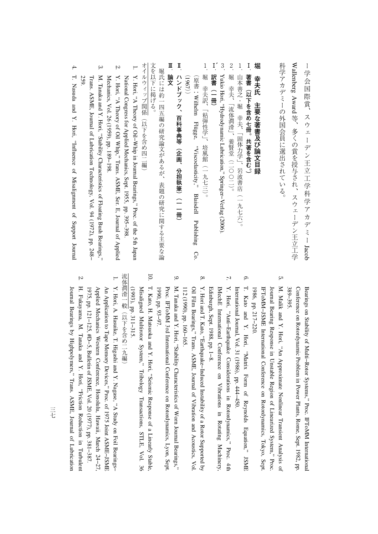ーJacob WallenbergAward

## **堀**

- **Ⅰ** -**著**
- .<br>山 、「
- 2 ・<br>堀

、「

- 3 Yukio Hori, "Hydrodynamic Lubrication,"Springer−Verlag(2006).
- **Ⅰ ′** -**訳**
- ・<br>堀 、「 書 :Wilhelm Flügge,"Viscoelasticity," Blaisdell Publishing Co. (1967
- -**ハ )(**

## -**論**

- 1. National Congress for Applied Mechanics, Sept. 1955, pp. 395−398. Y.Hori, "A Theory of Oil−Whipin. Journal Bearings," Proc. of the 5thJapan
- $\overline{2}$ Me Y.Hori, "A Theory of Oil Whip," Trans. ASME, Ser. E, Journal of Applied chanics, Vol. 26 (1959), pp. 189−198.
- $\omega$ 259. Trans. ASME, Journal of Lubrication Technology, Vol. 94 (1972), pp. 248− M. Tanaka and Y. Hori, "Stability**Characteristics** <u>ຊ</u> Floating BushBearings,"
- 4. T. Nasuda and Y. Hori, "Influence<u>ຊ</u> Misalignment of SupportJournal

389-395. 389−395. ConferenceBearings on Stability on Rotordynamic<u>ຊ</u> Multi−Rotor Problem Systems,"in, Power Plants, Proc. IFToMM Rome, Sept. 1982, International pp.

- çл M. Malik and Y. Hori, "An Approximate Nonlinear Transient Analysis<u>ຊ</u> Journal Bearing Responsein. Unstable Region of Linearized System," Proc. IFToMM−JSME International**Conference**  on Rotordynamics, Tokyo, Sept. 1986, pp. 217−220.
- $\Xi$ T. Kato and Y. Hori, "Matrix Form of Reynolds Equation," JSME ternational Journal, Vol. 31 (1986), pp.444−450.

6.

- $\mathcal{L}$ IMechE Inter Y. Hori, "Anti−Earthquake**Considerations** i. Rotordynamics," Proc. 4th national**Conference**  on Vibrations in Rotating Machinery, Edinburgh, Sept. 1988,pp. 1−8.
- 8. 112 (1990), pp. 160−165.  $\supseteq$  Film Bearings," Trans. ASME, Journal<u>ຊ</u> Vibration and Acoustics, Vol. Y. Hori and T. Kato, "Earthquake−Induced Instability of a Rotor Supportedby
- 9. M. Tanaka and Y. Hori, "Stability**Characteristics**  of Worn Journal Bearings," 1990, pp. 93−97. Proc. IFToMMن<br>م International Conference on Rotordynamics,Lyon, Sept.
- 10. Misaligned Multirotor System," Tr T. Kato, H. Matsuoka and Y. Hori, "Seismic Response of a Linearly Stable, ibology Transactions, STLE, Vol. 36 (1993), pp. 311−315.

- 1. 1975, pp. 121−125, #D−5, Bulletin of JSME, Vol. 20 (1977), pp. 381−387. Applied Mechanics Western Conference, Honolulu, Hawaii, March 24−27, An Application to Tape Memory Devices," Proc. of 1975 Joint ASME−JSME Y. Hori, A. Hasuike, T. Higashi and Y. Nagase, "A Study on FoilBearings−
- 2. J ournalH. Fukayama, M. Tanaka and Y. Hori, "Friction Reductionin. Turbulent Bearings by Highpolymers," Trans. ASME, Journal ofLubrication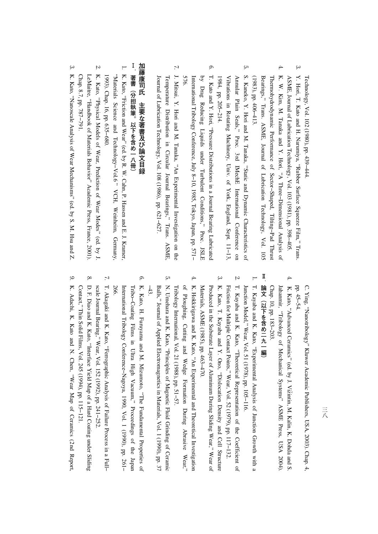Technology, Vol. 102 (1980), pp.439−444.

- $\omega$ ASME, Journal of Lubrication Technology, Vol. 103 (1981), pp. 398−405. Y. Hori, T. Kato and H. Narumiya, "Rubber Surface Squeeze Film,"Trans.
- 4. ( 1983),Bearings," Trans. ASME, Journal of Lubrication Technology, Vol. 105 Thermohydrodynamic Performance of Sector−Shaped, Tilting−Pad Thrust K. W. Kim, M. Tanaka and Y.Hori, "A Three−Dimensional Analysis<u>ຊ</u> pp.406−413.
- çл 1984, pp. 205−214. Vibrationsi. Rotating Machinery, Univ. of York, England, Sept. 11−13, Annular Plain Seals," Proc. 3rd IMechE International**Conference**  on S. Kaneko, Y. Hori and M. Tanaka, "Static and Dynamic Characteristics<u>ຊ</u>
- 6. by Drag ReducingLiquids T. Kato and Y. Hori, "Pressure Distributions in a Journal Bearing Lubricated under Turbulent Conditions," Proc. JSLE International Tribology Conference, July 8−10, 1985, Tokyo, Japan, pp. 571− 576.
- $\mathcal{L}$ J. Mitsui, Y. Hori and M. Tanaka, "An Experimental Investigation on the J ournalTemperature Distributionin. **Circular**  Journal Bearings," Trans. ASME, of Lubrication Technology, Vol. 108 (1986), pp. 621−627.

## 加藤康司氏 **加藤康司氏主要な著者の意味を持ち、その場合には、「この場合」ということになる。** 主要な著書及び論文目録

- **Ⅰ**著書(分担執筆。以下を含め一八冊) **著書(分担執筆。以下を含め一八冊)**
- 1. K. Kato, "Friction and Wear" (ed. by R. W. Cahn, P. Hassen and E. J. Kramer, "Materials Science and Technology−Vol.6 " VCH, Weinheim, Germany, 1993). Chap. 16, pp. 635−680.
- 2. Chap. 8.7, pp. 787−791. LeMaitre, yooqpueH., <u>ຊ</u> Materials Behavior" Academic Press, France, 2001). K. Kato, "Physical Models of Wear, Prediction of Wear Modes" (ed. byJ.
- $\omega$ K. Kato, "Nanoscale Analysis of Wear Mechanisms" (ed. by S. M. Hsu andZ.

 $\rm{d}$  45−54. ີຕ. Ying, "Nanotribology" Kluwer Academic Publishers, USA, 2003). Chap.4,

- $\overline{4}$ Fr. . ~ ~ ..<br>4. K. Kato. "Advanced Ceramics" (ed. by J. Viži Chap. 10,Ja hanmir, "TribologyK. Kato, pp. "Advanced183−203. Ceramics" $\mathbf{a}$  Mechanical (ed. by J. Vizintin, Systems" ASME M. Kalin, K. Press, Dohda and S. USA 2004).
- **Ⅱ**論文 (以下を含め二九一編) **論文(以下を含め二九一編)**
- 1. J unctionT. Kayaba and K. Kato, "Experimental Analysis of Junction Growth witha Model," Wear, Vol. 51 (1978), pp. 105−116.
- 2. Friction for Multiple ContactPoi T. Kayaba and K. Kato, "Theoretical Representation of the**Coefficient**  of nts," Wear, Vol. 52 (1979), pp. 117−132.
- $\omega$  $\mathbb{N}$ Producedin. the Substrate Layer of Aluminum During Sliding Wear," Wear of K. Kato, T. Kayaba and Y. Ono, uoneoolsid., Density and Cell Structure terials, ASME (1985), pp.463−470.
- 4. Q, Ploughing, Cutting and Wedge Format K. Hokkirigawa and K. Kato, "An Experimental and Theoretical Investigation ion During Abrasive Wear," Tribology International, Vol. 21 (1988),pp. 51−57.
- çл −43. Balls," Journal of Applied Electromagneticsin. Materials, Vol. 1 (1990), pp. 37 N. Umehara and K. Kato, "Principles $\overline{a}$  Magnetic Fluid Grinding<u>ຊ</u> Ceramic
- 6. Tr K. Kato, H. Furuyama and M. Mizumoto,a∐., Fundamental Properties<u>ຊ</u> ibo−Coating Filmsin, Ultra High Vacuum," ProceedingsQ, the Japan International Tribology Conference−Nagoya, 1990, Vol. 1 (1990), pp. 261− 266.
- $\mathbf{r}$ sc aleT. Akagaki and K. Kato, "Ferrographic AnalysisQ, Failure Process in a Full− Journal Bearing," Wear, Vol. 152 (1992), pp. 241−252.
- 8. Contact," Thin Solid Films, Vol. 245 (1994), pp. 115−121. D. F. Diao and K. Kato, "Interface Yield Map of a Hard**Coating** under Sliding
- 9. K. Adachi, K. Kato and N. Chen, "Wear Map of Ceramics (2ndReport,